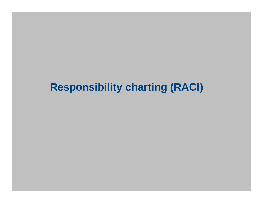## **Responsibility charting (RACI)**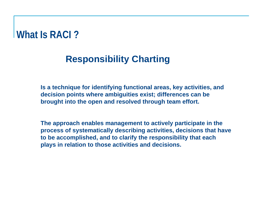#### **What Is RACI ?**

#### **Responsibility Charting**

**Is a technique for identifying functional areas, key activities, and decision points where ambiguities exist; differences can be brought into the open and resolved through team effort.**

**The approach enables management to actively participate in the process of systematically describing activities, decisions that have to be accomplished, and to clarify the responsibility that each plays in relation to those activities and decisions.**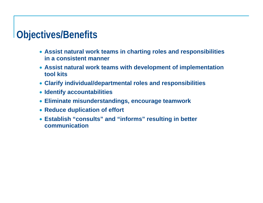#### **Objectives/Benefits**

- **Assist natural work teams in charting roles and responsibilities in a consistent manner**
- **Assist natural work teams with development of implementation tool kits**
- **Clarify individual/departmental roles and responsibilities**
- **Identify accountabilities**
- **Eliminate misunderstandings, encourage teamwork**
- **Reduce duplication of effort**
- **Establish "consults" and "informs" resulting in better communication**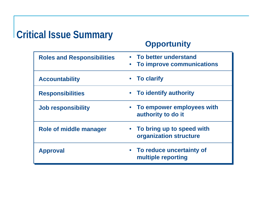## **Critical Issue Summary**

#### **Opportunity**

| <b>Roles and Responsibilities</b> | • To better understand<br>To improve communications<br>$\bullet$ |
|-----------------------------------|------------------------------------------------------------------|
| <b>Accountability</b>             | • To clarify                                                     |
| <b>Responsibilities</b>           | • To identify authority                                          |
| <b>Job responsibility</b>         | • To empower employees with<br>authority to do it                |
| Role of middle manager            | • To bring up to speed with<br>organization structure            |
| <b>Approval</b>                   | • To reduce uncertainty of<br>multiple reporting                 |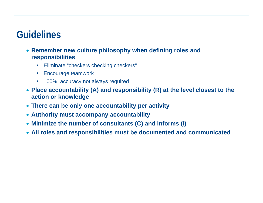## **Guidelines**

- **Remember new culture philosophy when defining roles and responsibilities**
	- $\bullet$ Eliminate "checkers checking checkers"
	- $\bullet$ Encourage teamwork
	- $\bullet$ 100% accuracy not always required
- **Place accountability (A) and responsibility (R) at the level closest to the action or knowledge**
- **There can be only one accountability per activity**
- **Authority must accompany accountability**
- **Minimize the number of consultants (C) and informs (I)**
- **All roles and responsibilities must be documented and communicated**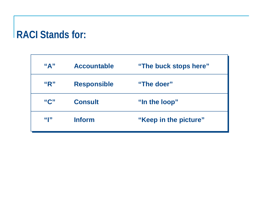## **RACI Stands for:**

| $\mathbf{A}$ " | <b>Accountable</b> | "The buck stops here" |
|----------------|--------------------|-----------------------|
| "R"            | <b>Responsible</b> | "The doer"            |
| "C"            | <b>Consult</b>     | "In the loop"         |
| 64122          | <b>Inform</b>      | "Keep in the picture" |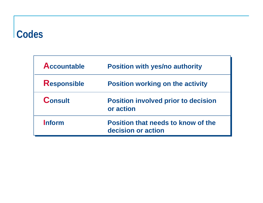#### **Codes**

| <b>Accountable</b> | <b>Position with yes/no authority</b>                           |
|--------------------|-----------------------------------------------------------------|
| <b>Responsible</b> | <b>Position working on the activity</b>                         |
| <b>Consult</b>     | <b>Position involved prior to decision</b><br>or action         |
| Inform             | <b>Position that needs to know of the</b><br>decision or action |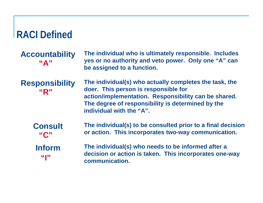#### **RACI Defined**

#### **Accountability "A"**

**The individual who is ultimately responsible. Includes yes or no authority and veto power. Only one "A" can be assigned to a function.**

**Responsibility "R"**

**The individual(s) who actually completes the task, the doer. This person is responsible for action/implementation. Responsibility can be shared. The degree of responsibility is determined by the individual with the "A".**

**The individual(s) to be consulted prior to a final decision or action. This incorporates two-way communication. Consult "C"**

**Inform"I"**

**The individual(s) who needs to be informed after a decision or action is taken. This incorporates one-way communication.**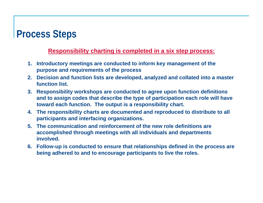### **Process Steps**

#### **Responsibility charting is completed in a six step process:**

- **1. Introductory meetings are conducted to inform key management of the purpose and requirements of the process**
- **2. Decision and function lists are developed, analyzed and collated into a master function list.**
- **3. Responsibility workshops are conducted to agree upon function definitions and to assign codes that describe the type of participation each role will have toward each function. The output is a responsibility chart.**
- **4. The responsibility charts are documented and reproduced to distribute to all participants and interfacing organizations.**
- **5. The communication and reinforcement of the new role definitions are accomplished through meetings with all individuals and departments involved.**
- **6. Follow-up is conducted to ensure that relationships defined in the process are being adhered to and to encourage participants to live the roles.**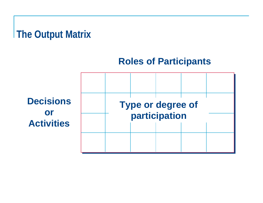# **The Output Matrix**

#### **Roles of Participants**

**Decisions or Activities**

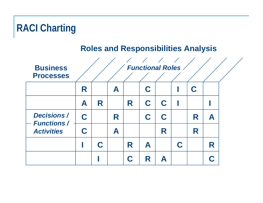# **RACI Charting**

#### **Roles and Responsibilities Analysis**

| <b>Business</b><br><b>Processes</b>     |   |   |   |   | <b>Functional Roles</b> |   |   |   |  |
|-----------------------------------------|---|---|---|---|-------------------------|---|---|---|--|
|                                         | R |   | A |   | C                       |   | C |   |  |
|                                         | A | R |   | R | C                       | C |   |   |  |
| <b>Decisions /</b>                      | C |   | R |   | C                       | C | R | A |  |
| <b>Functions /</b><br><b>Activities</b> | C |   | A |   |                         | R | R |   |  |
|                                         |   | C |   | R | A                       |   |   | R |  |
|                                         |   |   |   |   | R                       |   |   | C |  |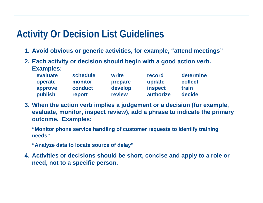## **Activity Or Decision List Guidelines**

- **1. Avoid obvious or generic activities, for example, "attend meetings"**
- **2. Each activity or decision should begin with a good action verb. Examples:**

| evaluate | schedule | write   | record         | determine |
|----------|----------|---------|----------------|-----------|
| operate  | monitor  | prepare | update         | collect   |
| approve  | conduct  | develop | <b>inspect</b> | train     |
| publish  | report   | review  | authorize      | decide    |

**3. When the action verb implies a judgement or a decision (for example, evaluate, monitor, inspect review), add a phrase to indicate the primary outcome. Examples:**

**"Monitor phone service handling of customer requests to identify training needs"**

**"Analyze data to locate source of delay"**

**4. Activities or decisions should be short, concise and apply to a role or need, not to a specific person.**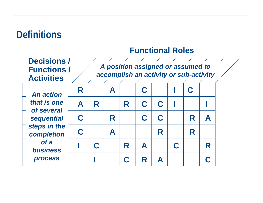## **Definitions**

#### **Functional Roles**

| <b>Decisions/</b><br><b>Functions /</b><br><b>Activities</b> |   |   |   |   | A position assigned or assumed to<br>accomplish an activity or sub-activity |   |   |   |  |
|--------------------------------------------------------------|---|---|---|---|-----------------------------------------------------------------------------|---|---|---|--|
| <b>An action</b>                                             | R |   | A |   |                                                                             |   |   |   |  |
| that is one<br>of several                                    | A | R |   | R |                                                                             |   |   |   |  |
| sequential                                                   | C |   | R |   |                                                                             |   | R | A |  |
| steps in the<br>completion                                   |   |   | A |   |                                                                             | R | R |   |  |
| of a<br><b>business</b>                                      |   | C |   | R | A                                                                           |   |   | R |  |
| <b>process</b>                                               |   |   |   |   |                                                                             |   |   |   |  |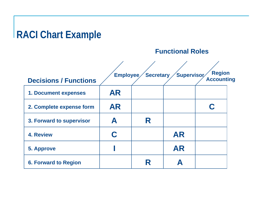## **RACI Chart Example**

**Functional Roles**

| <b>Decisions / Functions</b> | Employee  | Secretary | Supervisor | <b>Region</b><br><b>Accounting</b> |
|------------------------------|-----------|-----------|------------|------------------------------------|
| <b>1. Document expenses</b>  | <b>AR</b> |           |            |                                    |
| 2. Complete expense form     | <b>AR</b> |           |            |                                    |
| 3. Forward to supervisor     | А         | R         |            |                                    |
| <b>4. Review</b>             | C         |           | <b>AR</b>  |                                    |
| <b>5. Approve</b>            |           |           | <b>AR</b>  |                                    |
| <b>6. Forward to Region</b>  |           | R         |            |                                    |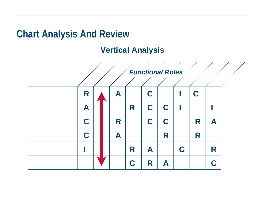## **Chart Analysis And Review**

#### **Vertical Analysis**

|   |   |   |   | $\frac{1}{2}$<br><b>Functional Roles /</b> |   |   |   |   |  |
|---|---|---|---|--------------------------------------------|---|---|---|---|--|
|   |   |   |   |                                            |   |   |   |   |  |
| R |   | A |   | C                                          |   |   | C |   |  |
| A |   |   | R | C                                          | C |   |   |   |  |
| C |   | R |   | C                                          | C |   | R | A |  |
| C |   | A |   |                                            | R |   | R |   |  |
|   |   |   | R | A                                          |   | C |   | R |  |
|   | ◪ |   | C | R                                          | A |   |   | C |  |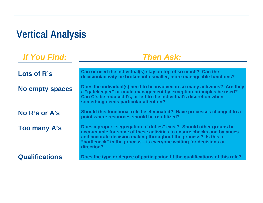# **Vertical Analysis**

*If You Find:*

#### *Then Ask:*

| Lots of R's            | Can or need the individual(s) stay on top of so much? Can the<br>decision/activity be broken into smaller, more manageable functions?                                                                                                                                                             |
|------------------------|---------------------------------------------------------------------------------------------------------------------------------------------------------------------------------------------------------------------------------------------------------------------------------------------------|
| <b>No empty spaces</b> | Does the individual(s) need to be involved in so many activities? Are they<br>a "gatekeeper" or could management by exception principles be used?<br>Can C's be reduced I's, or left to the individual's discretion when<br>something needs particular attention?                                 |
| No R's or A's          | Should this functional role be eliminated? Have processes changed to a<br>point where resources should be re-utilized?                                                                                                                                                                            |
| <b>Too many A's</b>    | Does a proper "segregation of duties" exist? Should other groups be<br>accountable for some of these activities to ensure checks and balances<br>and accurate decision making throughout the process? Is this a<br>"bottleneck" in the process-is everyone waiting for decisions or<br>direction? |
| <b>Qualifications</b>  | Does the type or degree of participation fit the qualifications of this role?                                                                                                                                                                                                                     |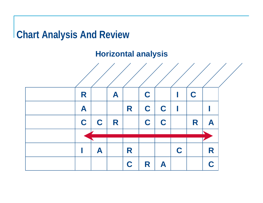#### **Chart Analysis And Review**

#### **Horizontal analysis**

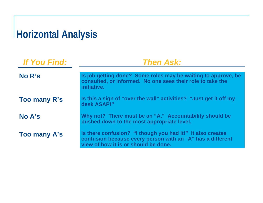# **Horizontal Analysis**

| <b>If You Find:</b> | <b>Then Ask:</b>                                                                                                                                                 |  |  |  |  |  |
|---------------------|------------------------------------------------------------------------------------------------------------------------------------------------------------------|--|--|--|--|--|
| No R's              | Is job getting done? Some roles may be waiting to approve, be                                                                                                    |  |  |  |  |  |
|                     | consulted, or informed. No one sees their role to take the<br>initiative.                                                                                        |  |  |  |  |  |
| <b>Too many R's</b> | Is this a sign of "over the wall" activities? "Just get it off my<br>desk ASAP!"                                                                                 |  |  |  |  |  |
| No A's              | Why not? There must be an "A." Accountability should be<br>pushed down to the most appropriate level.                                                            |  |  |  |  |  |
| Too many A's        | Is there confusion? "I though you had it!" It also creates<br>confusion because every person with an "A" has a different<br>view of how it is or should be done. |  |  |  |  |  |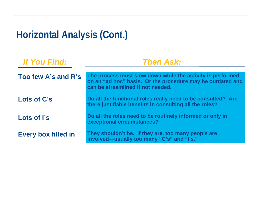# **Horizontal Analysis (Cont.)**

| <b>If You Find:</b>        | <b>Then Ask:</b>                                                                                                                                              |  |  |  |  |  |  |
|----------------------------|---------------------------------------------------------------------------------------------------------------------------------------------------------------|--|--|--|--|--|--|
| Too few A's and R's        | The process must slow down while the activity is performed<br>on an "ad hoc" basis. Or the procedure may be outdated and<br>can be streamlined if not needed. |  |  |  |  |  |  |
| Lots of C's                | Do all the functional roles really need to be consulted? Are<br>there justifiable benefits in consulting all the roles?                                       |  |  |  |  |  |  |
| Lots of I's                | Do all the roles need to be routinely informed or only in<br>exceptional circumstances?                                                                       |  |  |  |  |  |  |
| <b>Every box filled in</b> | They shouldn't be. If they are, too many people are<br>involved-usually too many "C's" and "I's."                                                             |  |  |  |  |  |  |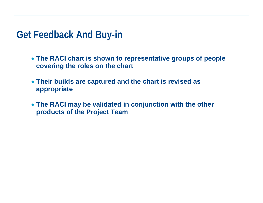#### **Get Feedback And Buy-in**

- **The RACI chart is shown to representative groups of people covering the roles on the chart**
- **Their builds are captured and the chart is revised as appropriate**
- **The RACI may be validated in conjunction with the other products of the Project Team**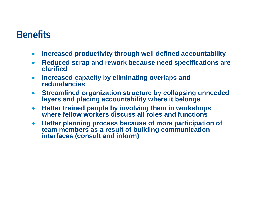#### **Benefits**

- $\bullet$ **Increased productivity through well defined accountability**
- $\bullet$  **Reduced scrap and rework because need specifications are clarified**
- **Increased capacity by eliminating overlaps and redundancies**
- $\bullet$  **Streamlined organization structure by collapsing unneeded layers and placing accountability where it belongs**
- $\bullet$  **Better trained people by involving them in workshops where fellow workers discuss all roles and functions**
- $\bullet$  **Better planning process because of more participation of team members as a result of building communication interfaces (consult and inform)**